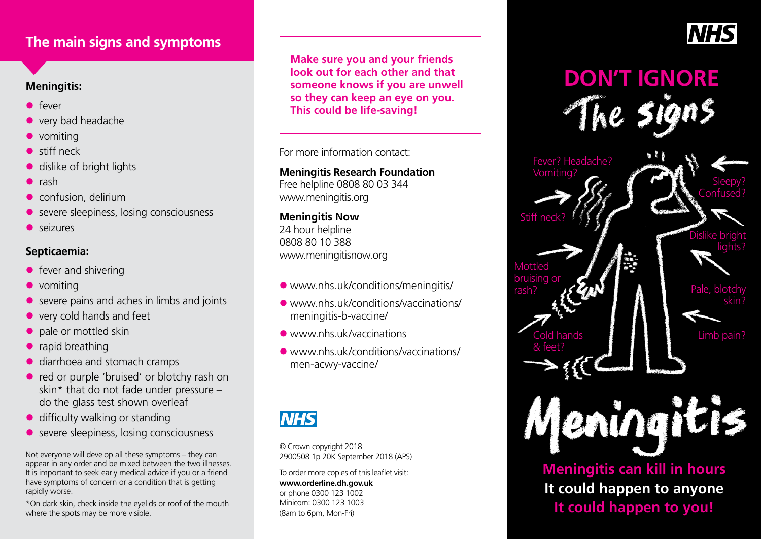# **The main signs and symptoms**

# **Meningitis:**

- $\bullet$  fever
- $\bullet$  very bad headache
- $\bullet$  vomiting
- $\bullet$  stiff neck
- $\bullet$  dislike of bright lights
- $\bullet$  rash
- $\bullet$  confusion, delirium
- $\bullet$  severe sleepiness, losing consciousness
- $\bullet$  seizures

# **Septicaemia:**

- $\bullet$  fever and shivering
- $\bullet$  vomiting
- $\bullet$  severe pains and aches in limbs and joints
- $\bullet$  very cold hands and feet
- $\bullet$  pale or mottled skin
- $\bullet$  rapid breathing
- diarrhoea and stomach cramps
- red or purple 'bruised' or blotchy rash on skin\* that do not fade under pressure – do the glass test shown overleaf
- $\bullet$  difficulty walking or standing
- **e** severe sleepiness, losing consciousness

Not everyone will develop all these symptoms – they can appear in any order and be mixed between the two illnesses. It is important to seek early medical advice if you or a friend have symptoms of concern or a condition that is getting rapidly worse.

\*On dark skin, check inside the eyelids or roof of the mouth where the spots may be more visible.

**Make sure you and your friends look out for each other and that someone knows if you are unwell so they can keep an eye on you. This could be life-saving!**

For more information contact:

**Meningitis Research Foundation** Free helpline 0808 80 03 344 www.meningitis.org

## **Meningitis Now** 24 hour helpline

0808 80 10 388 www.meningitisnow.org

- [www.nhs.uk/conditions/meningitis/](https://www.nhs.uk/conditions/meningitis/)
- l [www.nhs.uk/conditions/vaccinations/](http://www.nhs.uk/conditions/vaccinations/meningitis-b-vaccine/) [meningitis-b-vaccine/](http://www.nhs.uk/conditions/vaccinations/meningitis-b-vaccine/)
- **C** [www.nhs.uk/vaccinations](http://www.nhs.uk/vaccinations)
- [www.nhs.uk/conditions/vaccinations/](https://www.nhs.uk/conditions/vaccinations/men-acwy-vaccine/) [men-acwy-vaccine/](https://www.nhs.uk/conditions/vaccinations/men-acwy-vaccine/)

# **NHS**

© Crown copyright 2018 2900508 1p 20K September 2018 (APS)

To order more copies of this leaflet visit: **www.orderline.dh.gov.uk**  or phone 0300 123 1002 Minicom: 0300 123 1003 (8am to 6pm, Mon-Fri)